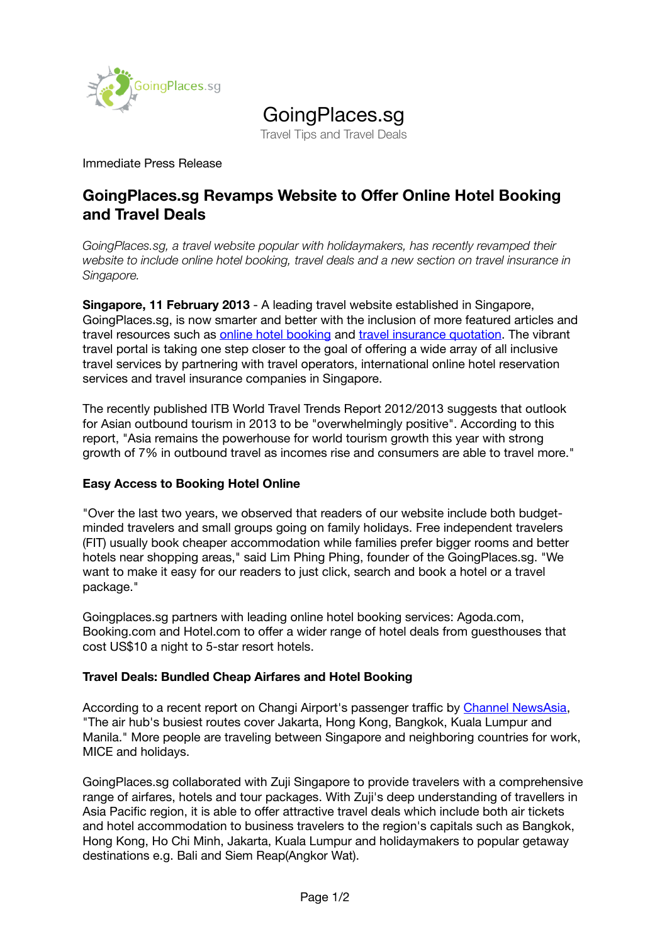

# GoingPlaces.sg

Travel Tips and Travel Deals

Immediate Press Release

## **GoingPlaces.sg Revamps Website to Offer Online Hotel Booking and Travel Deals**

*GoingPlaces.sg, a travel website popular with holidaymakers, has recently revamped their website to include online hotel booking, travel deals and a new section on travel insurance in Singapore.*

**Singapore, 11 February 2013** - A leading travel website established in Singapore, GoingPlaces.sg, is now smarter and better with the inclusion of more featured articles and travel resources such as [online hotel booking](http://www.goingplaces.sg/hotel-booking/) and [travel insurance quotation.](http://www.goingplaces.sg/travel-insurance/) The vibrant travel portal is taking one step closer to the goal of offering a wide array of all inclusive travel services by partnering with travel operators, international online hotel reservation services and travel insurance companies in Singapore.

The recently published ITB World Travel Trends Report 2012/2013 suggests that outlook for Asian outbound tourism in 2013 to be "overwhelmingly positive". According to this report, "Asia remains the powerhouse for world tourism growth this year with strong growth of 7% in outbound travel as incomes rise and consumers are able to travel more."

### **Easy Access to Booking Hotel Online**

"Over the last two years, we observed that readers of our website include both budgetminded travelers and small groups going on family holidays. Free independent travelers (FIT) usually book cheaper accommodation while families prefer bigger rooms and better hotels near shopping areas," said Lim Phing Phing, founder of the GoingPlaces.sg. "We want to make it easy for our readers to just click, search and book a hotel or a travel package."

Goingplaces.sg partners with leading online hotel booking services: Agoda.com, Booking.com and Hotel.com to offer a wider range of hotel deals from guesthouses that cost US\$10 a night to 5-star resort hotels.

### **Travel Deals: Bundled Cheap Airfares and Hotel Booking**

According to a recent report on Changi Airport's passenger traffic by [Channel NewsAsia,](http://www.channelnewsasia.com/stories/singaporelocalnews/view/1251370/1/.html) "The air hub's busiest routes cover Jakarta, Hong Kong, Bangkok, Kuala Lumpur and Manila." More people are traveling between Singapore and neighboring countries for work, MICE and holidays.

GoingPlaces.sg collaborated with Zuji Singapore to provide travelers with a comprehensive range of airfares, hotels and tour packages. With Zuji's deep understanding of travellers in Asia Pacific region, it is able to offer attractive travel deals which include both air tickets and hotel accommodation to business travelers to the region's capitals such as Bangkok, Hong Kong, Ho Chi Minh, Jakarta, Kuala Lumpur and holidaymakers to popular getaway destinations e.g. Bali and Siem Reap(Angkor Wat).